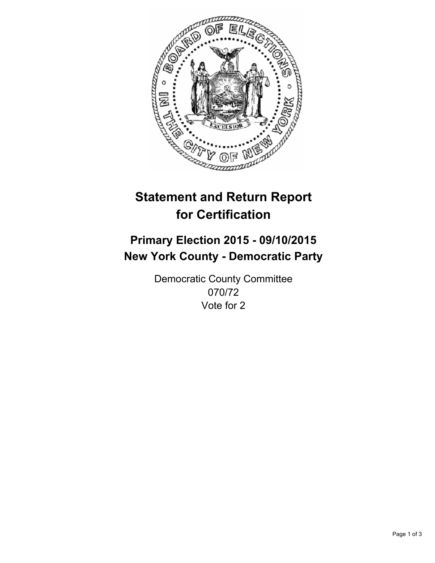

# **Statement and Return Report for Certification**

## **Primary Election 2015 - 09/10/2015 New York County - Democratic Party**

Democratic County Committee 070/72 Vote for 2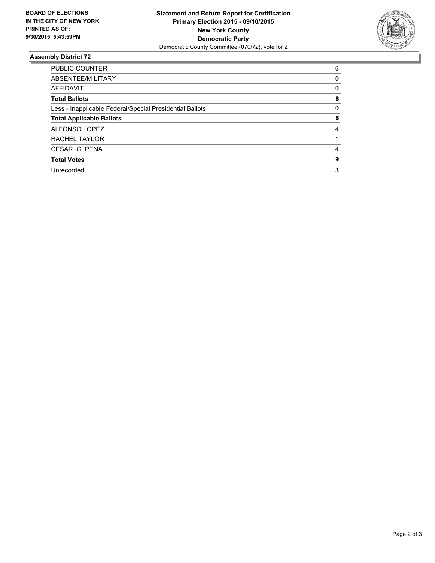

#### **Assembly District 72**

| <b>PUBLIC COUNTER</b>                                    | 6 |
|----------------------------------------------------------|---|
| ABSENTEE/MILITARY                                        | 0 |
| <b>AFFIDAVIT</b>                                         | 0 |
| <b>Total Ballots</b>                                     | 6 |
| Less - Inapplicable Federal/Special Presidential Ballots | 0 |
| <b>Total Applicable Ballots</b>                          | 6 |
| ALFONSO LOPEZ                                            | 4 |
| RACHEL TAYLOR                                            |   |
| CESAR G. PENA                                            | 4 |
| <b>Total Votes</b>                                       | 9 |
| Unrecorded                                               | 3 |